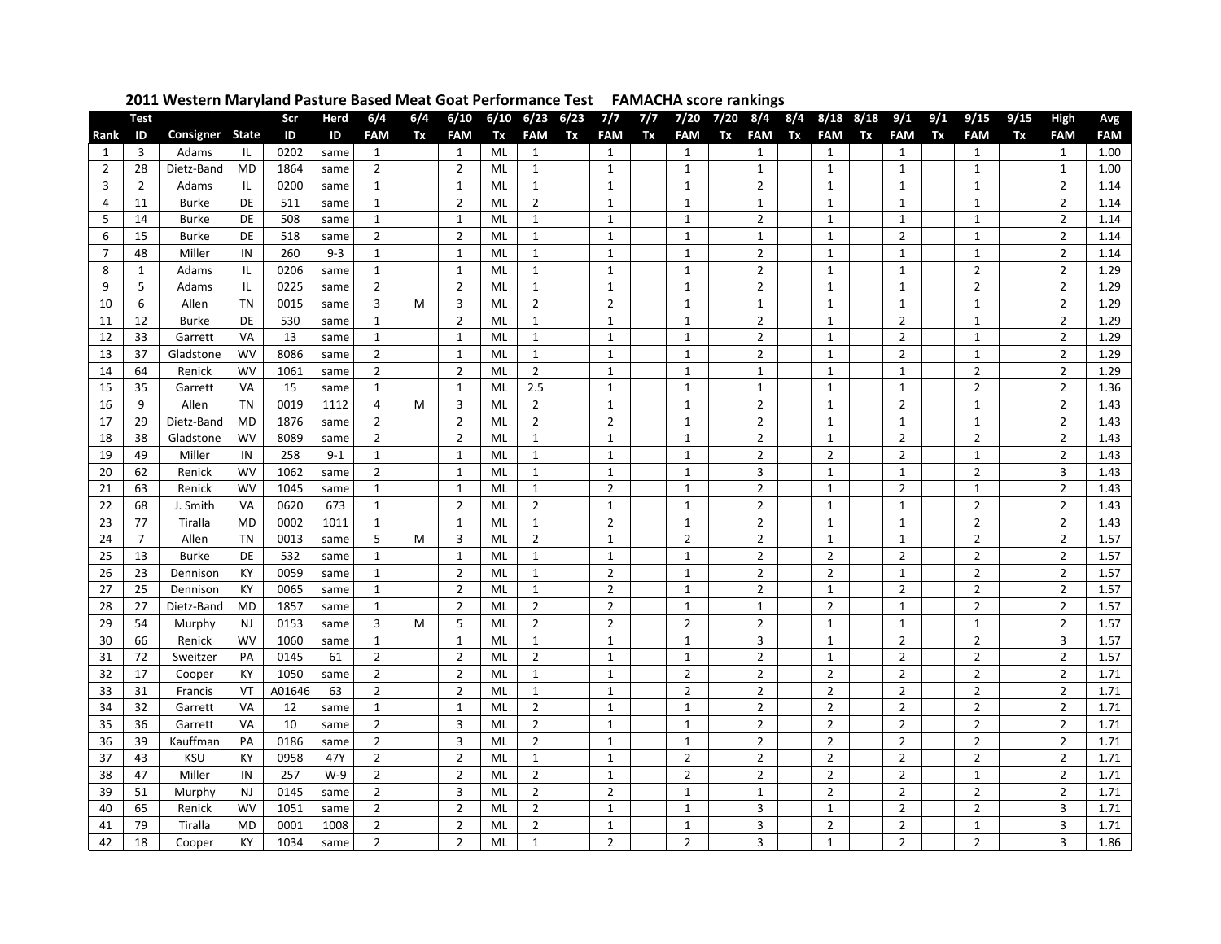|                | <b>Test</b>    |                    |              | Scr          | Herd         | 6/4            | 6/4 | 6/10                           |          | $6/10$ $6/23$                  | 6/23 | 7/7            | 7/7 | 7/20                           | 7/20 | 8/4                 | 8/4 | $8/18$ $8/18$                |    | 9/1                 | 9/1 | 9/15                             | 9/15 | High                | Avg          |
|----------------|----------------|--------------------|--------------|--------------|--------------|----------------|-----|--------------------------------|----------|--------------------------------|------|----------------|-----|--------------------------------|------|---------------------|-----|------------------------------|----|---------------------|-----|----------------------------------|------|---------------------|--------------|
| Rank           | ID             | Consigner          | <b>State</b> | ID           | ID           | <b>FAM</b>     | Tx  | <b>FAM</b>                     | Tx       | <b>FAM</b>                     | Tx   | <b>FAM</b>     | Tx  | <b>FAM</b>                     | Tx   | <b>FAM</b>          | Tx  | <b>FAM</b>                   | Tx | <b>FAM</b>          | Tx  | <b>FAM</b>                       | Tx   | <b>FAM</b>          | <b>FAM</b>   |
| 1              | 3              | Adams              | ΙL           | 0202         | same         | 1              |     | 1                              | ML       | $\mathbf{1}$                   |      | 1              |     | 1                              |      | 1                   |     | 1                            |    | 1                   |     | $\mathbf{1}$                     |      | 1                   | 1.00         |
| $\overline{2}$ | 28             | Dietz-Band         | <b>MD</b>    | 1864         | same         | $\overline{2}$ |     | $\overline{2}$                 | ML       | $\mathbf{1}$                   |      | 1              |     | $\mathbf{1}$                   |      | 1                   |     | 1                            |    | $\mathbf{1}$        |     | $\mathbf{1}$                     |      | $\mathbf{1}$        | 1.00         |
| 3              | $\overline{2}$ | Adams              | ΙL           | 0200         | same         | $\mathbf{1}$   |     | $\mathbf{1}$                   | ML       | $\mathbf{1}$                   |      | $\mathbf{1}$   |     | $\mathbf{1}$                   |      | $\overline{2}$      |     | $\mathbf{1}$                 |    | $\mathbf{1}$        |     | $\mathbf{1}$                     |      | $\overline{2}$      | 1.14         |
| 4              | 11             | <b>Burke</b>       | DE           | 511          | same         | $\mathbf{1}$   |     | $\overline{2}$                 | ML       | $\overline{2}$                 |      | $\mathbf{1}$   |     | $\mathbf{1}$                   |      | $\mathbf{1}$        |     | $\mathbf{1}$                 |    | $\mathbf{1}$        |     | $\mathbf{1}$                     |      | $\overline{2}$      | 1.14         |
| 5              | 14             | <b>Burke</b>       | DE           | 508          | same         | 1              |     | $\mathbf{1}$                   | ML       | 1                              |      | 1              |     | $\mathbf{1}$                   |      | $\overline{2}$      |     | 1                            |    | 1                   |     | $\mathbf{1}$                     |      | $\overline{2}$      | 1.14         |
| 6              | 15             | <b>Burke</b>       | DE           | 518          | same         | $\overline{2}$ |     | $\overline{2}$                 | ML       | $\mathbf{1}$                   |      | $\mathbf{1}$   |     | $\mathbf{1}$                   |      | $\mathbf{1}$        |     | $\mathbf{1}$                 |    | $\overline{2}$      |     | $\mathbf{1}$                     |      | $\overline{2}$      | 1.14         |
| $\overline{7}$ | 48             | Miller             | IN           | 260          | $9 - 3$      | $\mathbf{1}$   |     | $\mathbf{1}$                   | ML       | $\mathbf{1}$                   |      | $\mathbf{1}$   |     | $\mathbf{1}$                   |      | $\overline{2}$      |     | $\mathbf{1}$                 |    | $\mathbf{1}$        |     | $\mathbf{1}$                     |      | $\overline{2}$      | 1.14         |
| 8              | $\mathbf{1}$   | Adams              | IL           | 0206         | same         | 1              |     | $\mathbf{1}$                   | ML       | $\mathbf{1}$                   |      | $\mathbf{1}$   |     | $\mathbf{1}$                   |      | $\overline{2}$      |     | $\mathbf{1}$                 |    | $\mathbf{1}$        |     | $\overline{2}$                   |      | $\overline{2}$      | 1.29         |
| 9              | 5              | Adams              | ΠL           | 0225         | same         | 2              |     | $\overline{2}$                 | ML       | $\mathbf{1}$                   |      | 1              |     | 1                              |      | $\overline{2}$      |     | $\mathbf{1}$                 |    | 1                   |     | 2                                |      | $\overline{2}$      | 1.29         |
| 10             | 6              | Allen              | TN           | 0015         | same         | 3              | M   | 3                              | ML       | $\overline{2}$                 |      | $\overline{2}$ |     | $\mathbf{1}$                   |      | 1                   |     | 1                            |    | 1                   |     | $\mathbf{1}$                     |      | $\overline{2}$      | 1.29         |
| 11             | 12             | <b>Burke</b>       | DE           | 530          | same         | 1              |     | $\overline{2}$                 | ML       | $\mathbf{1}$                   |      | 1              |     | $\mathbf{1}$                   |      | $\overline{2}$      |     | $\mathbf{1}$                 |    | $\overline{2}$      |     | $\mathbf{1}$                     |      | $\overline{2}$      | 1.29         |
| 12             | 33             | Garrett            | VA           | 13           | same         | 1              |     | $\mathbf{1}$                   | ML       | $\mathbf{1}$                   |      | 1              |     | 1                              |      | $\overline{2}$      |     | $\mathbf{1}$                 |    | 2                   |     | $\mathbf{1}$                     |      | $\overline{2}$      | 1.29         |
| 13             | 37             | Gladstone          | WV           | 8086         | same         | $\overline{2}$ |     | $\mathbf{1}$                   | ML       | $\mathbf{1}$                   |      | $\mathbf{1}$   |     | $\mathbf{1}$                   |      | $\overline{2}$      |     | $\mathbf{1}$                 |    | $\overline{2}$      |     | $\mathbf{1}$                     |      | $\overline{2}$      | 1.29         |
| 14             | 64             | Renick             | WV           | 1061         | same         | $\overline{2}$ |     | $\overline{2}$                 | ML       | $\overline{2}$                 |      | 1              |     | $\mathbf{1}$                   |      | 1                   |     | $\mathbf{1}$                 |    | 1                   |     | 2                                |      | $\overline{2}$      | 1.29         |
| 15             | 35             | Garrett            | VA           | 15           | same         | 1              |     | 1                              | ML       | 2.5                            |      | $\mathbf{1}$   |     | $\mathbf{1}$                   |      | 1                   |     | $\mathbf{1}$                 |    | 1                   |     | $\overline{2}$                   |      | $\overline{2}$      | 1.36         |
| 16             | 9              | Allen              | <b>TN</b>    | 0019         | 1112         | 4              | M   | 3                              | ML       | $\overline{2}$                 |      | $\mathbf{1}$   |     | $\mathbf{1}$                   |      | $\overline{2}$      |     | $\mathbf{1}$                 |    | $\overline{2}$      |     | $\mathbf{1}$                     |      | $\overline{2}$      | 1.43         |
| 17             | 29             | Dietz-Band         | <b>MD</b>    | 1876         | same         | $\overline{2}$ |     | $\overline{2}$                 | ML       | $\overline{2}$                 |      | $\overline{2}$ |     | $\mathbf{1}$                   |      | $\overline{2}$      |     | $\mathbf{1}$                 |    | $\mathbf{1}$        |     | $\mathbf{1}$                     |      | $\overline{2}$      | 1.43         |
| 18             | 38             | Gladstone          | <b>WV</b>    | 8089         | same         | $\overline{2}$ |     | $\overline{2}$                 | ML       | $\mathbf{1}$                   |      | $\mathbf{1}$   |     | $\mathbf{1}$                   |      | $\overline{2}$      |     | $\mathbf{1}$                 |    | $\overline{2}$      |     | $\overline{2}$                   |      | $\overline{2}$      | 1.43         |
| 19             | 49             | Miller             | IN           | 258          | $9 - 1$      | $\mathbf{1}$   |     | $\mathbf{1}$                   | ML       | $\mathbf{1}$                   |      | $\mathbf{1}$   |     | $\mathbf{1}$                   |      | $\overline{2}$      |     | $\overline{2}$               |    | $\overline{2}$      |     | $\mathbf{1}$                     |      | $\overline{2}$      | 1.43         |
| 20             | 62             | Renick             | WV           | 1062         | same         | $\overline{2}$ |     | $\mathbf{1}$                   | ML       | 1                              |      | $\mathbf{1}$   |     | $\mathbf{1}$                   |      | 3                   |     | $\mathbf{1}$                 |    | 1                   |     | $\overline{2}$                   |      | 3                   | 1.43         |
| 21             | 63             | Renick             | WV           | 1045         | same         | $\mathbf{1}$   |     | $\mathbf{1}$                   | ML       | $\mathbf{1}$                   |      | $\overline{2}$ |     | $\mathbf{1}$                   |      | $\overline{2}$      |     | $\mathbf{1}$                 |    | $\overline{2}$      |     | $\mathbf{1}$                     |      | $\overline{2}$      | 1.43         |
| 22             | 68             | J. Smith           | VA           | 0620         | 673          | 1              |     | $\overline{2}$                 | ML       | $\overline{2}$                 |      | $\mathbf{1}$   |     | $\mathbf{1}$                   |      | $\overline{2}$      |     | $\mathbf{1}$                 |    | $\mathbf{1}$        |     | $\overline{2}$                   |      | $\overline{2}$      | 1.43         |
| 23             | 77             | Tiralla            | <b>MD</b>    | 0002         | 1011         | $\mathbf{1}$   |     | $\mathbf{1}$                   | ML       | $\mathbf{1}$                   |      | $\overline{2}$ |     | $\mathbf{1}$                   |      | $\overline{2}$      |     | $\mathbf{1}$                 |    | $\mathbf{1}$        |     | $\overline{2}$                   |      | $\overline{2}$      | 1.43         |
| 24             | $\overline{7}$ | Allen              | TN           | 0013         | same         | 5              | M   | 3                              | ML       | $\overline{2}$                 |      | 1              |     | $\overline{2}$                 |      | $\overline{2}$      |     | $\mathbf{1}$                 |    | 1                   |     | $\overline{2}$                   |      | $\overline{2}$      | 1.57         |
| 25             | 13             | <b>Burke</b>       | DE           | 532          | same         | $\mathbf{1}$   |     | $\mathbf{1}$                   | ML       | 1                              |      | 1              |     | $\mathbf{1}$                   |      | $\overline{2}$      |     | $\overline{2}$               |    | $\overline{2}$      |     | $\overline{2}$                   |      | $\overline{2}$      | 1.57         |
| 26             | 23             | Dennison           | КY           | 0059         | same         | 1              |     | $\overline{2}$                 | ML       | $\mathbf{1}$                   |      | $\overline{2}$ |     | $\mathbf{1}$                   |      | $\overline{2}$      |     | $\overline{2}$               |    | $\mathbf{1}$        |     | $\overline{2}$                   |      | $\overline{2}$      | 1.57         |
| 27             | 25             | Dennison           | KY           | 0065         | same         | $\mathbf{1}$   |     | $\overline{2}$                 | ML       | $\mathbf{1}$                   |      | $\overline{2}$ |     | $\mathbf{1}$                   |      | $\overline{2}$      |     | $\mathbf{1}$                 |    | $\overline{2}$      |     | $\overline{2}$                   |      | $\overline{2}$      | 1.57         |
| 28             | 27             | Dietz-Band         | MD           | 1857         | same         | 1              |     | $\overline{2}$                 | ML       | $\overline{2}$                 |      | $\overline{2}$ |     | $\mathbf{1}$                   |      | $\mathbf{1}$        |     | $\overline{2}$               |    | $\mathbf{1}$        |     | $\overline{2}$                   |      | $\overline{2}$      | 1.57         |
| 29             | 54             | Murphy             | NJ           | 0153         | same         | 3              | M   | 5                              | ML       | $\overline{2}$                 |      | $\overline{2}$ |     | $\overline{2}$<br>$\mathbf{1}$ |      | $\overline{2}$      |     | $\mathbf{1}$<br>$\mathbf{1}$ |    | 1<br>$\overline{2}$ |     | $\mathbf{1}$                     |      | $\overline{2}$      | 1.57         |
| 30<br>31       | 66<br>72       | Renick             | WV           | 1060<br>0145 | same         | 1<br>2         |     | $\mathbf{1}$<br>$\overline{2}$ | ML       | $\mathbf{1}$<br>$\overline{2}$ |      | 1<br>1         |     | $\mathbf{1}$                   |      | 3<br>$\overline{2}$ |     | $\mathbf{1}$                 |    | $\overline{2}$      |     | $\overline{2}$<br>$\overline{2}$ |      | 3<br>$\overline{2}$ | 1.57<br>1.57 |
| 32             | 17             | Sweitzer           | PA<br>KY     | 1050         | 61           | $\overline{2}$ |     | $\overline{2}$                 | ML<br>ML | $\mathbf{1}$                   |      | $\mathbf{1}$   |     | $\overline{2}$                 |      | $\overline{2}$      |     | $\overline{2}$               |    | $\overline{2}$      |     | $\overline{2}$                   |      | $\overline{2}$      | 1.71         |
| 33             | 31             | Cooper             | VT           | A01646       | same<br>63   | 2              |     | $\overline{2}$                 | ML       | $\mathbf{1}$                   |      | $\mathbf{1}$   |     | $\overline{2}$                 |      | $\overline{2}$      |     | $\overline{2}$               |    | $\overline{2}$      |     | $\overline{2}$                   |      | $\overline{2}$      | 1.71         |
| 34             | 32             | Francis            | VA           | 12           |              | 1              |     | $\mathbf{1}$                   | ML       | $\overline{2}$                 |      | $\mathbf{1}$   |     | $\mathbf{1}$                   |      | $\overline{2}$      |     | $\overline{2}$               |    | $\overline{2}$      |     | 2                                |      | $\overline{2}$      | 1.71         |
| 35             | 36             | Garrett<br>Garrett | VA           | 10           | same<br>same | $\overline{2}$ |     | $\overline{3}$                 | ML       | $\overline{2}$                 |      | 1              |     | $\mathbf{1}$                   |      | $\overline{2}$      |     | $\overline{2}$               |    | $\overline{2}$      |     | $\overline{2}$                   |      | $\overline{2}$      | 1.71         |
| 36             | 39             | Kauffman           | PA           | 0186         |              | $\overline{2}$ |     | $\overline{3}$                 | ML       | $\overline{2}$                 |      | $\mathbf{1}$   |     | $\mathbf{1}$                   |      | $\overline{2}$      |     | $\overline{2}$               |    | $\overline{2}$      |     | $\overline{2}$                   |      | $\overline{2}$      | 1.71         |
| 37             | 43             | <b>KSU</b>         | KY           | 0958         | same<br>47Y  | $\overline{2}$ |     | $\overline{2}$                 | ML       | $\mathbf{1}$                   |      | $\mathbf{1}$   |     | $\overline{2}$                 |      | $\overline{2}$      |     | $\overline{2}$               |    | $\overline{2}$      |     | $\overline{2}$                   |      | $\overline{2}$      | 1.71         |
| 38             | 47             | Miller             | IN           | 257          | $W-9$        | $\overline{2}$ |     | $\overline{2}$                 | ML       | $\overline{2}$                 |      | 1              |     | $\overline{2}$                 |      | $\overline{2}$      |     | $\overline{2}$               |    | $\overline{2}$      |     | $\mathbf{1}$                     |      | $\overline{2}$      | 1.71         |
| 39             | 51             | Murphy             | <b>NJ</b>    | 0145         | same         | $\overline{2}$ |     | $\overline{3}$                 | ML       | $\overline{2}$                 |      | $\overline{2}$ |     | $\mathbf{1}$                   |      | $\mathbf{1}$        |     | $\overline{2}$               |    | $\overline{2}$      |     | $\overline{2}$                   |      | $\overline{2}$      | 1.71         |
| 40             | 65             | Renick             | WV           | 1051         | same         | $\overline{2}$ |     | $\overline{2}$                 | ML       | $\overline{2}$                 |      | $\mathbf{1}$   |     | $\mathbf{1}$                   |      | 3                   |     | $\mathbf{1}$                 |    | $\overline{2}$      |     | $\overline{2}$                   |      | $\overline{3}$      | 1.71         |
| 41             | 79             | Tiralla            | MD           | 0001         | 1008         | $\overline{2}$ |     | $\overline{2}$                 | ML       | $\overline{2}$                 |      | $\mathbf{1}$   |     | $\mathbf{1}$                   |      | 3                   |     | $\overline{2}$               |    | $\overline{2}$      |     | $\mathbf{1}$                     |      | 3                   | 1.71         |
| 42             | 18             | Cooper             | KY           | 1034         | same         | 2              |     | $\overline{2}$                 | ML       | $\mathbf{1}$                   |      | $\overline{2}$ |     | $\overline{2}$                 |      | 3                   |     | $\mathbf{1}$                 |    | $\overline{2}$      |     | $\overline{2}$                   |      | 3                   | 1.86         |

## **Western Maryland Pasture Based Meat Goat Performance Test FAMACHA score rankings**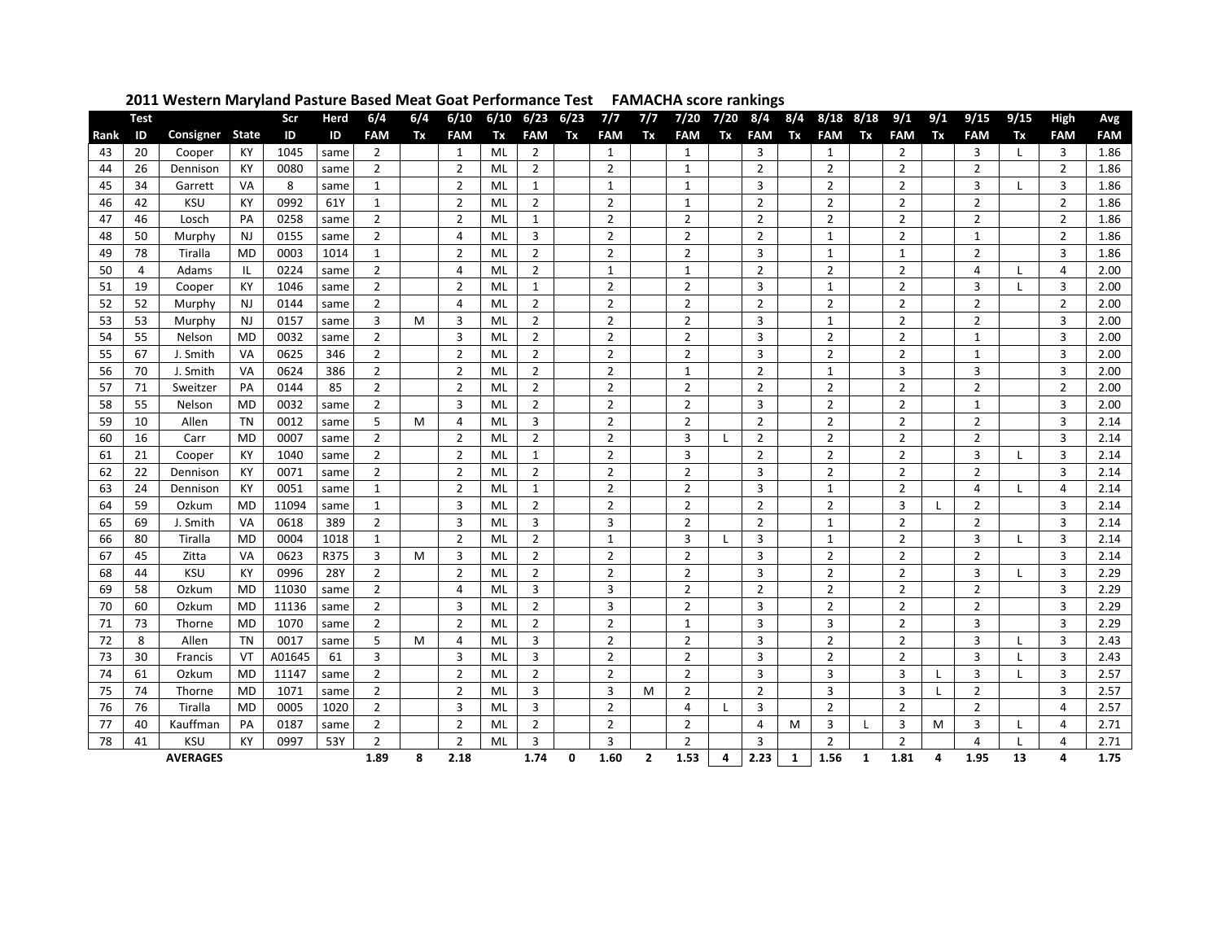|      | <b>Test</b>     |            |              | Scr    | Herd | 6/4            | 6/4 | 6/10           | 6/10 | 6/23           | 6/23 | 7/7            | 7/7            | 7/20           | 7/20         | 8/4            | 8/4 | 8/18           | 8/18 | 9/1            | 9/1 | 9/15           | 9/15         | <b>High</b>    | Avg        |
|------|-----------------|------------|--------------|--------|------|----------------|-----|----------------|------|----------------|------|----------------|----------------|----------------|--------------|----------------|-----|----------------|------|----------------|-----|----------------|--------------|----------------|------------|
| Rank | ID              | Consigner  | <b>State</b> | ID     | ID   | <b>FAM</b>     | Tx  | <b>FAM</b>     | Tx   | <b>FAM</b>     | Tx   | <b>FAM</b>     | Tx             | <b>FAM</b>     | Tx           | <b>FAM</b>     | Tx  | <b>FAM</b>     | Tx   | <b>FAM</b>     | Tx  | <b>FAM</b>     | Tx           | <b>FAM</b>     | <b>FAM</b> |
| 43   | 20              | Cooper     | KY           | 1045   | same | $\overline{2}$ |     | $\mathbf{1}$   | ML   | $\overline{2}$ |      | $\mathbf{1}$   |                | $\mathbf{1}$   |              | 3              |     | $\mathbf{1}$   |      | $\overline{2}$ |     | 3              | $\perp$      | 3              | 1.86       |
| 44   | 26              | Dennison   | КY           | 0080   | same | $\overline{2}$ |     | 2              | ML   | $\overline{2}$ |      | $\overline{2}$ |                | $\mathbf{1}$   |              | $\overline{2}$ |     | $\overline{2}$ |      | $\overline{2}$ |     | $\overline{2}$ |              | $\overline{2}$ | 1.86       |
| 45   | 34              | Garrett    | VA           | 8      | same | $\mathbf{1}$   |     | $\overline{2}$ | ML   | $\mathbf{1}$   |      | $\mathbf{1}$   |                | $\mathbf{1}$   |              | 3              |     | $\overline{2}$ |      | $\overline{2}$ |     | 3              | $\mathbf{I}$ | 3              | 1.86       |
| 46   | 42              | <b>KSU</b> | KY           | 0992   | 61Y  | $\mathbf{1}$   |     | $\overline{2}$ | ML   | $\overline{2}$ |      | $\overline{2}$ |                | $\mathbf{1}$   |              | $\overline{2}$ |     | $\overline{2}$ |      | $\overline{2}$ |     | $\overline{2}$ |              | $\overline{2}$ | 1.86       |
| 47   | 46              | Losch      | PA           | 0258   | same | $\overline{2}$ |     | $\overline{2}$ | ML   | $\mathbf{1}$   |      | $\overline{2}$ |                | $\overline{2}$ |              | $\overline{2}$ |     | $\overline{2}$ |      | $\overline{2}$ |     | $\overline{2}$ |              | $\overline{2}$ | 1.86       |
| 48   | 50              | Murphy     | <b>NJ</b>    | 0155   | same | $\overline{2}$ |     | 4              | ML   | 3              |      | $\overline{2}$ |                | $\overline{2}$ |              | $\overline{2}$ |     | $\mathbf{1}$   |      | $\overline{2}$ |     | $\mathbf{1}$   |              | $\overline{2}$ | 1.86       |
| 49   | 78              | Tiralla    | MD           | 0003   | 1014 | 1              |     | 2              | ML   | 2              |      | 2              |                | $\overline{2}$ |              | 3              |     | 1              |      | 1              |     | 2              |              | 3              | 1.86       |
| 50   | 4               | Adams      | ΙL           | 0224   | same | $\overline{2}$ |     | 4              | ML   | $\overline{2}$ |      | $\mathbf{1}$   |                | $\mathbf{1}$   |              | $\overline{2}$ |     | $\overline{2}$ |      | $\overline{2}$ |     | 4              |              | 4              | 2.00       |
| 51   | 19              | Cooper     | KY           | 1046   | same | 2              |     | $\overline{2}$ | ML   | 1              |      | 2              |                | 2              |              | 3              |     | 1              |      | 2              |     | 3              |              | 3              | 2.00       |
| 52   | 52              | Murphy     | <b>NJ</b>    | 0144   | same | $\overline{2}$ |     | 4              | ML   | $\overline{2}$ |      | $\overline{2}$ |                | $\overline{2}$ |              | $\overline{2}$ |     | $\overline{2}$ |      | $\overline{2}$ |     | $\overline{2}$ |              | $\overline{2}$ | 2.00       |
| 53   | 53              | Murphy     | <b>NJ</b>    | 0157   | same | 3              | м   | 3              | ML   | $\overline{2}$ |      | $\overline{2}$ |                | $\overline{2}$ |              | 3              |     | $\mathbf{1}$   |      | $\overline{2}$ |     | $\overline{2}$ |              | 3              | 2.00       |
| 54   | 55              | Nelson     | <b>MD</b>    | 0032   | same | $\overline{2}$ |     | 3              | ML   | $\overline{2}$ |      | $\overline{2}$ |                | $\overline{2}$ |              | 3              |     | $\overline{2}$ |      | $\overline{2}$ |     | $\mathbf{1}$   |              | 3              | 2.00       |
| 55   | 67              | J. Smith   | VA           | 0625   | 346  | $\overline{2}$ |     | 2              | ML   | $\overline{2}$ |      | $\overline{2}$ |                | $\overline{2}$ |              | 3              |     | $\overline{2}$ |      | $\overline{2}$ |     | 1              |              | 3              | 2.00       |
| 56   | 70              | J. Smith   | VA           | 0624   | 386  | $\overline{2}$ |     | $\overline{2}$ | ML   | $\overline{2}$ |      | $\overline{2}$ |                | 1              |              | $\overline{2}$ |     | 1              |      | 3              |     | 3              |              | 3              | 2.00       |
| 57   | 71              | Sweitzer   | PA           | 0144   | 85   | $\overline{2}$ |     | $\overline{2}$ | ML   | $\overline{2}$ |      | $\overline{2}$ |                | $\overline{2}$ |              | $\overline{2}$ |     | $\overline{2}$ |      | $\overline{2}$ |     | $\overline{2}$ |              | $\overline{2}$ | 2.00       |
| 58   | 55              | Nelson     | MD           | 0032   | same | 2              |     | 3              | ML   | $\overline{2}$ |      | 2              |                | $\overline{2}$ |              | 3              |     | $\overline{2}$ |      | $\overline{2}$ |     | $\mathbf 1$    |              | 3              | 2.00       |
| 59   | 10              | Allen      | <b>TN</b>    | 0012   | same | 5              | M   | 4              | ML   | 3              |      | $\overline{2}$ |                | $\overline{2}$ |              | $\overline{2}$ |     | $\overline{2}$ |      | $\overline{2}$ |     | $\overline{2}$ |              | 3              | 2.14       |
| 60   | 16              | Carr       | <b>MD</b>    | 0007   | same | $\overline{2}$ |     | $\overline{2}$ | ML   | $\overline{2}$ |      | 2              |                | 3              |              | 2              |     | $\overline{2}$ |      | 2              |     | 2              |              | 3              | 2.14       |
| 61   | 21              | Cooper     | KY           | 1040   | same | $\overline{2}$ |     | $\overline{2}$ | ML   | $\mathbf{1}$   |      | $\overline{2}$ |                | 3              |              | $\overline{2}$ |     | $\overline{2}$ |      | $\overline{2}$ |     | 3              | <b>L</b>     | 3              | 2.14       |
| 62   | 22              | Dennison   | KY           | 0071   | same | $\overline{2}$ |     | $\overline{2}$ | ML   | $\overline{2}$ |      | $\overline{2}$ |                | $\overline{2}$ |              | 3              |     | $\overline{2}$ |      | $\overline{2}$ |     | 2              |              | 3              | 2.14       |
| 63   | 24              | Dennison   | KY           | 0051   | same | $\mathbf{1}$   |     | $\overline{2}$ | ML   | 1              |      | $\overline{2}$ |                | $\overline{2}$ |              | 3              |     | 1              |      | $\overline{2}$ |     | 4              |              | 4              | 2.14       |
| 64   | 59              | Ozkum      | <b>MD</b>    | 11094  | same | $\mathbf{1}$   |     | 3              | ML   | $\overline{2}$ |      | $\overline{2}$ |                | $\overline{2}$ |              | $\overline{2}$ |     | $\overline{2}$ |      | 3              |     | $\overline{2}$ |              | 3              | 2.14       |
| 65   | 69              | J. Smith   | VA           | 0618   | 389  | $\overline{2}$ |     | 3              | ML   | $\overline{3}$ |      | $\overline{3}$ |                | $\overline{2}$ |              | $\overline{2}$ |     | $\mathbf{1}$   |      | $\overline{2}$ |     | $\overline{2}$ |              | 3              | 2.14       |
| 66   | 80              | Tiralla    | MD           | 0004   | 1018 | $\mathbf{1}$   |     | $\overline{2}$ | ML   | $\overline{2}$ |      | $\mathbf{1}$   |                | 3              | $\mathbf{I}$ | 3              |     | $\mathbf{1}$   |      | $\overline{2}$ |     | 3              | $\mathbf{I}$ | 3              | 2.14       |
| 67   | 45              | Zitta      | VA           | 0623   | R375 | 3              | M   | 3              | ML   | $\overline{2}$ |      | $\overline{2}$ |                | $\overline{2}$ |              | 3              |     | $\overline{2}$ |      | $\overline{2}$ |     | $\overline{2}$ |              | 3              | 2.14       |
| 68   | 44              | <b>KSU</b> | KY           | 0996   | 28Y  | $\overline{2}$ |     | $\overline{2}$ | ML   | $\overline{2}$ |      | $\overline{2}$ |                | $\overline{2}$ |              | 3              |     | $\overline{2}$ |      | $\overline{2}$ |     | 3              |              | 3              | 2.29       |
| 69   | 58              | Ozkum      | <b>MD</b>    | 11030  | same | $\overline{2}$ |     | 4              | ML   | 3              |      | 3              |                | $\overline{2}$ |              | $\overline{2}$ |     | $\overline{2}$ |      | $\overline{2}$ |     | $\overline{2}$ |              | 3              | 2.29       |
| 70   | 60              | Ozkum      | MD           | 11136  | same | $\overline{2}$ |     | 3              | ML   | $\overline{2}$ |      | 3              |                | $\overline{2}$ |              | 3              |     | $\overline{2}$ |      | 2              |     | 2              |              | 3              | 2.29       |
| 71   | 73              | Thorne     | <b>MD</b>    | 1070   | same | $\overline{2}$ |     | $\overline{2}$ | ML   | $\overline{2}$ |      | $\overline{2}$ |                | $\mathbf{1}$   |              | 3              |     | 3              |      | $\overline{2}$ |     | 3              |              | 3              | 2.29       |
| 72   | 8               | Allen      | TN           | 0017   | same | 5              | м   | 4              | ML   | 3              |      | 2              |                | $\overline{2}$ |              | 3              |     | $\overline{2}$ |      | 2              |     | 3              | L            | 3              | 2.43       |
| 73   | 30              | Francis    | VT           | A01645 | 61   | 3              |     | 3              | ML   | 3              |      | $\overline{2}$ |                | $\overline{2}$ |              | $\overline{3}$ |     | $\overline{2}$ |      | $\overline{2}$ |     | 3              |              | 3              | 2.43       |
| 74   | 61              | Ozkum      | MD           | 11147  | same | $\overline{2}$ |     | $\overline{2}$ | ML   | $\overline{2}$ |      | $\overline{2}$ |                | $\overline{2}$ |              | 3              |     | 3              |      | 3              |     | 3              | $\mathbf{I}$ | 3              | 2.57       |
| 75   | 74              | Thorne     | MD           | 1071   | same | $\overline{2}$ |     | $\overline{2}$ | ML   | 3              |      | 3              | M              | $\overline{2}$ |              | $\overline{2}$ |     | 3              |      | 3              |     | $\overline{2}$ |              | 3              | 2.57       |
| 76   | 76              | Tiralla    | <b>MD</b>    | 0005   | 1020 | $\overline{2}$ |     | 3              | ML   | 3              |      | $\overline{2}$ |                | $\overline{4}$ | $\mathbf{I}$ | 3              |     | $\overline{2}$ |      | $\overline{2}$ |     | $\overline{2}$ |              | 4              | 2.57       |
| 77   | 40              | Kauffman   | PА           | 0187   | same | $\overline{2}$ |     | $\overline{2}$ | ML   | $\overline{2}$ |      | $\overline{2}$ |                | $\overline{2}$ |              | 4              | M   | 3              |      | 3              | M   | 3              | L            | 4              | 2.71       |
| 78   | 41              | <b>KSU</b> | KY           | 0997   | 53Y  | $\overline{2}$ |     | $\overline{2}$ | ML   | 3              |      | $\overline{3}$ |                | $\overline{2}$ |              | 3              |     | $\overline{2}$ |      | $\overline{2}$ |     | $\overline{a}$ | <b>L</b>     | 4              | 2.71       |
|      | <b>AVERAGES</b> |            |              |        |      | 1.89           | 8   | 2.18           |      | 1.74           | 0    | 1.60           | $\overline{2}$ | 1.53           | 4            | 2.23           | -1  | 1.56           | 1    | 1.81           | 4   | 1.95           | 13           | 4              | 1.75       |

## **Western Maryland Pasture Based Meat Goat Performance Test FAMACHA score rankings**